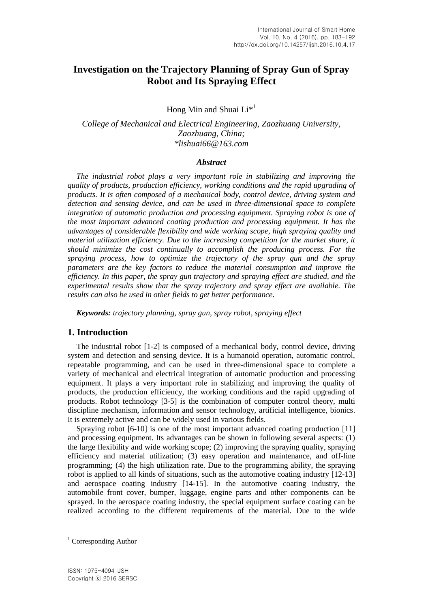# **Investigation on the Trajectory Planning of Spray Gun of Spray Robot and Its Spraying Effect**

Hong Min and Shuai  $Li<sup>*1</sup>$ 

*College of Mechanical and Electrical Engineering, Zaozhuang University, Zaozhuang, China; \*lishuai66@163.com*

# *Abstract*

*The industrial robot plays a very important role in stabilizing and improving the quality of products, production efficiency, working conditions and the rapid upgrading of products. It is often composed of a mechanical body, control device, driving system and detection and sensing device, and can be used in three-dimensional space to complete integration of automatic production and processing equipment. Spraying robot is one of the most important advanced coating production and processing equipment. It has the advantages of considerable flexibility and wide working scope, high spraying quality and material utilization efficiency. Due to the increasing competition for the market share, it should minimize the cost continually to accomplish the producing process. For the spraying process, how to optimize the trajectory of the spray gun and the spray parameters are the key factors to reduce the material consumption and improve the efficiency. In this paper, the spray gun trajectory and spraying effect are studied, and the experimental results show that the spray trajectory and spray effect are available. The results can also be used in other fields to get better performance.*

*Keywords: trajectory planning, spray gun, spray robot, spraying effect*

# **1. Introduction**

The industrial robot [1-2] is composed of a mechanical body, control device, driving system and detection and sensing device. It is a humanoid operation, automatic control, repeatable programming, and can be used in three-dimensional space to complete a variety of mechanical and electrical integration of automatic production and processing equipment. It plays a very important role in stabilizing and improving the quality of products, the production efficiency, the working conditions and the rapid upgrading of products. Robot technology [3-5] is the combination of computer control theory, multi discipline mechanism, information and sensor technology, artificial intelligence, bionics. It is extremely active and can be widely used in various fields.

Spraying robot [6-10] is one of the most important advanced coating production [11] and processing equipment. Its advantages can be shown in following several aspects: (1) the large flexibility and wide working scope; (2) improving the spraying quality, spraying efficiency and material utilization; (3) easy operation and maintenance, and off-line programming; (4) the high utilization rate. Due to the programming ability, the spraying robot is applied to all kinds of situations, such as the automotive coating industry [12-13] and aerospace coating industry [14-15]. In the automotive coating industry, the automobile front cover, bumper, luggage, engine parts and other components can be sprayed. In the aerospace coating industry, the special equipment surface coating can be realized according to the different requirements of the material. Due to the wide

l

<sup>&</sup>lt;sup>1</sup> Corresponding Author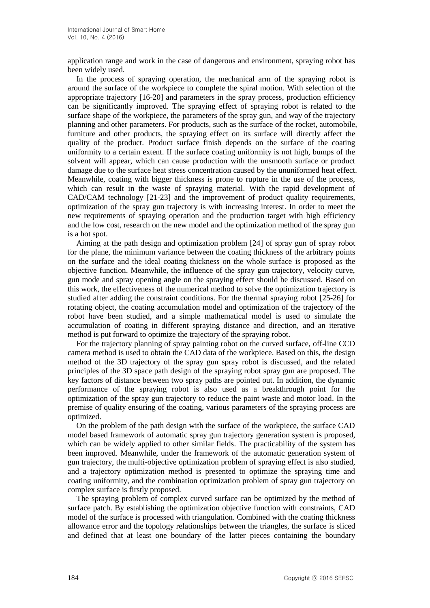application range and work in the case of dangerous and environment, spraying robot has been widely used.

In the process of spraying operation, the mechanical arm of the spraying robot is around the surface of the workpiece to complete the spiral motion. With selection of the appropriate trajectory [16-20] and parameters in the spray process, production efficiency can be significantly improved. The spraying effect of spraying robot is related to the surface shape of the workpiece, the parameters of the spray gun, and way of the trajectory planning and other parameters. For products, such as the surface of the rocket, automobile, furniture and other products, the spraying effect on its surface will directly affect the quality of the product. Product surface finish depends on the surface of the coating uniformity to a certain extent. If the surface coating uniformity is not high, bumps of the solvent will appear, which can cause production with the unsmooth surface or product damage due to the surface heat stress concentration caused by the ununiformed heat effect. Meanwhile, coating with bigger thickness is prone to rupture in the use of the process, which can result in the waste of spraying material. With the rapid development of CAD/CAM technology [21-23] and the improvement of product quality requirements, optimization of the spray gun trajectory is with increasing interest. In order to meet the new requirements of spraying operation and the production target with high efficiency and the low cost, research on the new model and the optimization method of the spray gun is a hot spot.

Aiming at the path design and optimization problem [24] of spray gun of spray robot for the plane, the minimum variance between the coating thickness of the arbitrary points on the surface and the ideal coating thickness on the whole surface is proposed as the objective function. Meanwhile, the influence of the spray gun trajectory, velocity curve, gun mode and spray opening angle on the spraying effect should be discussed. Based on this work, the effectiveness of the numerical method to solve the optimization trajectory is studied after adding the constraint conditions. For the thermal spraying robot [25-26] for rotating object, the coating accumulation model and optimization of the trajectory of the robot have been studied, and a simple mathematical model is used to simulate the accumulation of coating in different spraying distance and direction, and an iterative method is put forward to optimize the trajectory of the spraying robot.

For the trajectory planning of spray painting robot on the curved surface, off-line CCD camera method is used to obtain the CAD data of the workpiece. Based on this, the design method of the 3D trajectory of the spray gun spray robot is discussed, and the related principles of the 3D space path design of the spraying robot spray gun are proposed. The key factors of distance between two spray paths are pointed out. In addition, the dynamic performance of the spraying robot is also used as a breakthrough point for the optimization of the spray gun trajectory to reduce the paint waste and motor load. In the premise of quality ensuring of the coating, various parameters of the spraying process are optimized.

On the problem of the path design with the surface of the workpiece, the surface CAD model based framework of automatic spray gun trajectory generation system is proposed, which can be widely applied to other similar fields. The practicability of the system has been improved. Meanwhile, under the framework of the automatic generation system of gun trajectory, the multi-objective optimization problem of spraying effect is also studied, and a trajectory optimization method is presented to optimize the spraying time and coating uniformity, and the combination optimization problem of spray gun trajectory on complex surface is firstly proposed.

The spraying problem of complex curved surface can be optimized by the method of surface patch. By establishing the optimization objective function with constraints, CAD model of the surface is processed with triangulation. Combined with the coating thickness allowance error and the topology relationships between the triangles, the surface is sliced and defined that at least one boundary of the latter pieces containing the boundary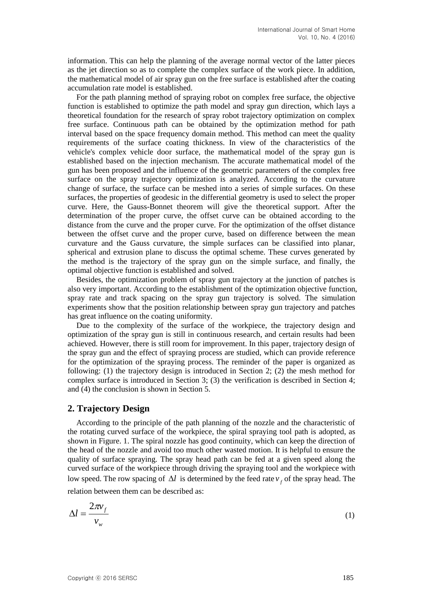information. This can help the planning of the average normal vector of the latter pieces as the jet direction so as to complete the complex surface of the work piece. In addition, the mathematical model of air spray gun on the free surface is established after the coating accumulation rate model is established.

For the path planning method of spraying robot on complex free surface, the objective function is established to optimize the path model and spray gun direction, which lays a theoretical foundation for the research of spray robot trajectory optimization on complex free surface. Continuous path can be obtained by the optimization method for path interval based on the space frequency domain method. This method can meet the quality requirements of the surface coating thickness. In view of the characteristics of the vehicle's complex vehicle door surface, the mathematical model of the spray gun is established based on the injection mechanism. The accurate mathematical model of the gun has been proposed and the influence of the geometric parameters of the complex free surface on the spray trajectory optimization is analyzed. According to the curvature change of surface, the surface can be meshed into a series of simple surfaces. On these surfaces, the properties of geodesic in the differential geometry is used to select the proper curve. Here, the Gauss-Bonnet theorem will give the theoretical support. After the determination of the proper curve, the offset curve can be obtained according to the distance from the curve and the proper curve. For the optimization of the offset distance between the offset curve and the proper curve, based on difference between the mean curvature and the Gauss curvature, the simple surfaces can be classified into planar, spherical and extrusion plane to discuss the optimal scheme. These curves generated by the method is the trajectory of the spray gun on the simple surface, and finally, the optimal objective function is established and solved.

Besides, the optimization problem of spray gun trajectory at the junction of patches is also very important. According to the establishment of the optimization objective function, spray rate and track spacing on the spray gun trajectory is solved. The simulation experiments show that the position relationship between spray gun trajectory and patches has great influence on the coating uniformity.

Due to the complexity of the surface of the workpiece, the trajectory design and optimization of the spray gun is still in continuous research, and certain results had been achieved. However, there is still room for improvement. In this paper, trajectory design of the spray gun and the effect of spraying process are studied, which can provide reference for the optimization of the spraying process. The reminder of the paper is organized as following: (1) the trajectory design is introduced in Section 2; (2) the mesh method for complex surface is introduced in Section 3; (3) the verification is described in Section 4; and (4) the conclusion is shown in Section 5.

# **2. Trajectory Design**

According to the principle of the path planning of the nozzle and the characteristic of the rotating curved surface of the workpiece, the spiral spraying tool path is adopted, as shown in Figure. 1. The spiral nozzle has good continuity, which can keep the direction of the head of the nozzle and avoid too much other wasted motion. It is helpful to ensure the quality of surface spraying. The spray head path can be fed at a given speed along the curved surface of the workpiece through driving the spraying tool and the workpiece with low speed. The row spacing of  $\Delta l$  is determined by the feed rate  $v_f$  of the spray head. The relation between them can be described as:

$$
\Delta l = \frac{2\pi v_f}{v_w} \tag{1}
$$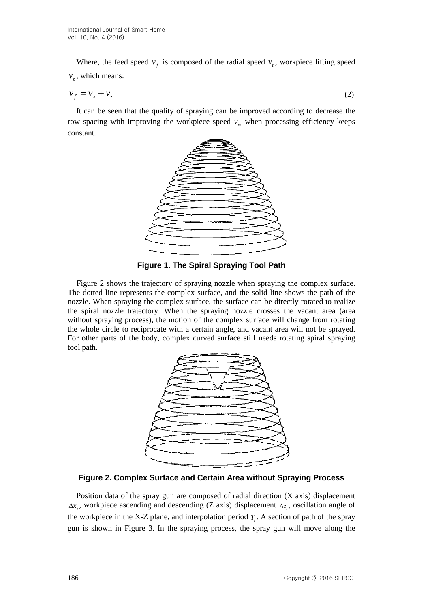Where, the feed speed  $v_f$  is composed of the radial speed  $v_t$ , workpiece lifting speed  $v_z$ , which means:

$$
v_f = v_x + v_z \tag{2}
$$

It can be seen that the quality of spraying can be improved according to decrease the row spacing with improving the workpiece speed  $v_w$  when processing efficiency keeps constant.



**Figure 1. The Spiral Spraying Tool Path**

Figure 2 shows the trajectory of spraying nozzle when spraying the complex surface. The dotted line represents the complex surface, and the solid line shows the path of the nozzle. When spraying the complex surface, the surface can be directly rotated to realize the spiral nozzle trajectory. When the spraying nozzle crosses the vacant area (area without spraying process), the motion of the complex surface will change from rotating the whole circle to reciprocate with a certain angle, and vacant area will not be sprayed. For other parts of the body, complex curved surface still needs rotating spiral spraying tool path.



**Figure 2. Complex Surface and Certain Area without Spraying Process**

Position data of the spray gun are composed of radial direction (X axis) displacement  $\Delta x_i$ , workpiece ascending and descending (Z axis) displacement  $\Delta z_i$ , oscillation angle of the workpiece in the X-Z plane, and interpolation period  $T_i$ . A section of path of the spray gun is shown in Figure 3. In the spraying process, the spray gun will move along the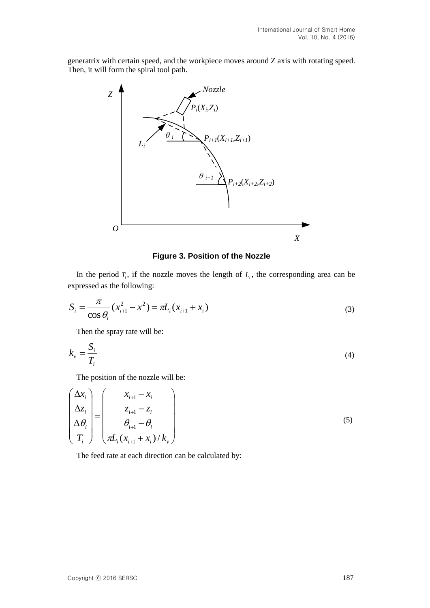generatrix with certain speed, and the workpiece moves around Z axis with rotating speed. Then, it will form the spiral tool path.



#### **Figure 3. Position of the Nozzle**

In the period  $T_i$ , if the nozzle moves the length of  $L_i$ , the corresponding area can be expressed as the following:

$$
S_i = \frac{\pi}{\cos \theta_i} (x_{i+1}^2 - x^2) = \pi L_i (x_{i+1} + x_i)
$$
\n(3)

Then the spray rate will be:

$$
k_{\nu} = \frac{S_i}{T_i} \tag{4}
$$

The position of the nozzle will be:

$$
\begin{pmatrix}\n\Delta x_i \\
\Delta z_i \\
\Delta \theta_i \\
T_i\n\end{pmatrix} = \begin{pmatrix}\nx_{i+1} - x_i \\
z_{i+1} - z_i \\
\theta_{i+1} - \theta_i \\
\pi L_i (x_{i+1} + x_i) / k_v\n\end{pmatrix}
$$
\n(5)

The feed rate at each direction can be calculated by: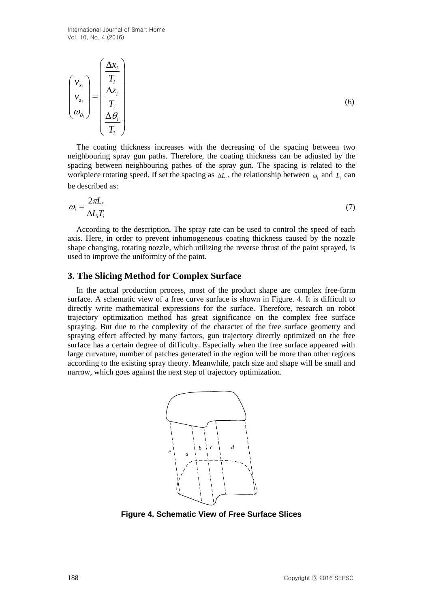$$
\begin{pmatrix} v_{x_i} \\ v_{z_i} \\ \omega_{\theta_i} \end{pmatrix} = \begin{pmatrix} \frac{\Delta x_i}{T_i} \\ \frac{\Delta z_i}{T_i} \\ \frac{\Delta \theta_i}{T_i} \end{pmatrix}
$$

The coating thickness increases with the decreasing of the spacing between two neighbouring spray gun paths. Therefore, the coating thickness can be adjusted by the spacing between neighbouring pathes of the spray gun. The spacing is related to the workpiece rotating speed. If set the spacing as  $\Delta L_i$ , the relationship between  $\omega_i$  and  $L_i$  can be described as:

$$
\omega_i = \frac{2\pi L_i}{\Delta L_i T_i} \tag{7}
$$

According to the description, The spray rate can be used to control the speed of each axis. Here, in order to prevent inhomogeneous coating thickness caused by the nozzle shape changing, rotating nozzle, which utilizing the reverse thrust of the paint sprayed, is used to improve the uniformity of the paint.

#### **3. The Slicing Method for Complex Surface**

In the actual production process, most of the product shape are complex free-form surface. A schematic view of a free curve surface is shown in Figure. 4. It is difficult to directly write mathematical expressions for the surface. Therefore, research on robot trajectory optimization method has great significance on the complex free surface spraying. But due to the complexity of the character of the free surface geometry and spraying effect affected by many factors, gun trajectory directly optimized on the free surface has a certain degree of difficulty. Especially when the free surface appeared with large curvature, number of patches generated in the region will be more than other regions according to the existing spray theory. Meanwhile, patch size and shape will be small and narrow, which goes against the next step of trajectory optimization.



**Figure 4. Schematic View of Free Surface Slices**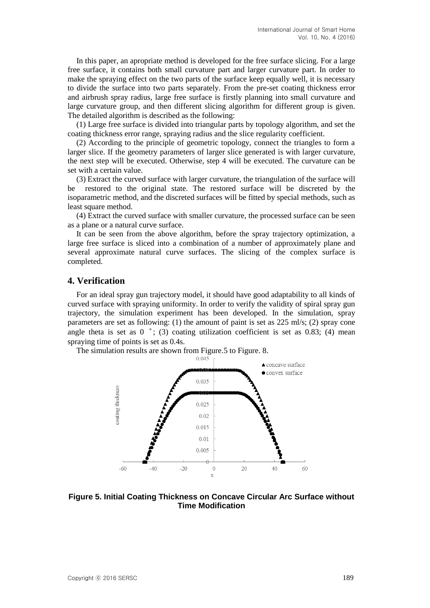In this paper, an apropriate method is developed for the free surface slicing. For a large free surface, it contains both small curvature part and larger curvature part. In order to make the spraying effect on the two parts of the surface keep equally well, it is necessary to divide the surface into two parts separately. From the pre-set coating thickness error and airbrush spray radius, large free surface is firstly planning into small curvature and large curvature group, and then different slicing algorithm for different group is given. The detailed algorithm is described as the following:

(1) Large free surface is divided into triangular parts by topology algorithm, and set the coating thickness error range, spraying radius and the slice regularity coefficient.

(2) According to the principle of geometric topology, connect the triangles to form a larger slice. If the geometry parameters of larger slice generated is with larger curvature, the next step will be executed. Otherwise, step 4 will be executed. The curvature can be set with a certain value.

(3) Extract the curved surface with larger curvature, the triangulation of the surface will be restored to the original state. The restored surface will be discreted by the isoparametric method, and the discreted surfaces will be fitted by special methods, such as least square method.

(4) Extract the curved surface with smaller curvature, the processed surface can be seen as a plane or a natural curve surface.

It can be seen from the above algorithm, before the spray trajectory optimization, a large free surface is sliced into a combination of a number of approximately plane and several approximate natural curve surfaces. The slicing of the complex surface is completed.

# **4. Verification**

For an ideal spray gun trajectory model, it should have good adaptability to all kinds of curved surface with spraying uniformity. In order to verify the validity of spiral spray gun trajectory, the simulation experiment has been developed. In the simulation, spray parameters are set as following: (1) the amount of paint is set as 225 ml/s; (2) spray cone angle theta is set as  $0 \degree$ ; (3) coating utilization coefficient is set as 0.83; (4) mean spraying time of points is set as 0.4s.

The simulation results are shown from Figure.5 to Figure. 8.<br> $0.045 \t{b}$ 



**Figure 5. Initial Coating Thickness on Concave Circular Arc Surface without Time Modification**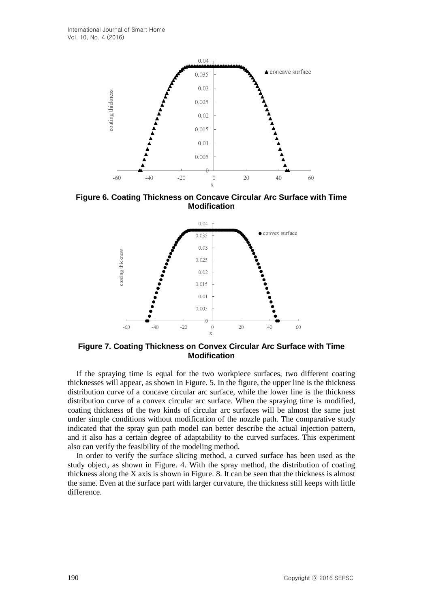

**Figure 6. Coating Thickness on Concave Circular Arc Surface with Time Modification**



**Figure 7. Coating Thickness on Convex Circular Arc Surface with Time Modification**

If the spraying time is equal for the two workpiece surfaces, two different coating thicknesses will appear, as shown in Figure. 5. In the figure, the upper line is the thickness distribution curve of a concave circular arc surface, while the lower line is the thickness distribution curve of a convex circular arc surface. When the spraying time is modified, coating thickness of the two kinds of circular arc surfaces will be almost the same just under simple conditions without modification of the nozzle path. The comparative study indicated that the spray gun path model can better describe the actual injection pattern, and it also has a certain degree of adaptability to the curved surfaces. This experiment also can verify the feasibility of the modeling method.

In order to verify the surface slicing method, a curved surface has been used as the study object, as shown in Figure. 4. With the spray method, the distribution of coating thickness along the X axis is shown in Figure. 8. It can be seen that the thickness is almost the same. Even at the surface part with larger curvature, the thickness still keeps with little difference.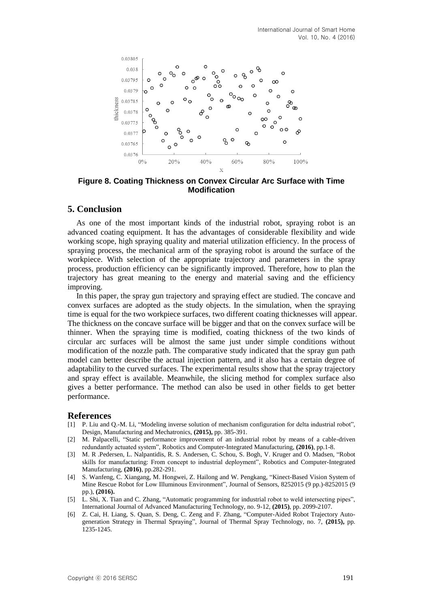

**Figure 8. Coating Thickness on Convex Circular Arc Surface with Time Modification**

# **5. Conclusion**

As one of the most important kinds of the industrial robot, spraying robot is an advanced coating equipment. It has the advantages of considerable flexibility and wide working scope, high spraying quality and material utilization efficiency. In the process of spraying process, the mechanical arm of the spraying robot is around the surface of the workpiece. With selection of the appropriate trajectory and parameters in the spray process, production efficiency can be significantly improved. Therefore, how to plan the trajectory has great meaning to the energy and material saving and the efficiency improving.

In this paper, the spray gun trajectory and spraying effect are studied. The concave and convex surfaces are adopted as the study objects. In the simulation, when the spraying time is equal for the two workpiece surfaces, two different coating thicknesses will appear. The thickness on the concave surface will be bigger and that on the convex surface will be thinner. When the spraying time is modified, coating thickness of the two kinds of circular arc surfaces will be almost the same just under simple conditions without modification of the nozzle path. The comparative study indicated that the spray gun path model can better describe the actual injection pattern, and it also has a certain degree of adaptability to the curved surfaces. The experimental results show that the spray trajectory and spray effect is available. Meanwhile, the slicing method for complex surface also gives a better performance. The method can also be used in other fields to get better performance.

#### **References**

- [1] P. Liu and Q.-M. Li, "Modeling inverse solution of mechanism configuration for delta industrial robot", Design, Manufacturing and Mechatronics, **(2015),** pp. 385-391.
- [2] M. Palpacelli, "Static performance improvement of an industrial robot by means of a cable-driven redundantly actuated system", Robotics and Computer-Integrated Manufacturing, **(2016)**, pp.1-8.
- [3] M. R .Pedersen, L. Nalpantidis, R. S. Andersen, C. Schou, S. Bogh, V. Kruger and O. Madsen, "Robot skills for manufacturing: From concept to industrial deployment", Robotics and Computer-Integrated Manufacturing, **(2016)**, pp.282-291.
- [4] S. Wanfeng, C. Xiangang, M. Hongwei, Z. Hailong and W. Pengkang, "Kinect-Based Vision System of Mine Rescue Robot for Low Illuminous Environment", Journal of Sensors, 8252015 (9 pp.)-8252015 (9 pp.), **(2016).**
- [5] L. Shi, X. Tian and C. Zhang, "Automatic programming for industrial robot to weld intersecting pipes", International Journal of Advanced Manufacturing Technology, no. 9-12, **(2015)**, pp. 2099-2107.
- [6] Z. Cai, H. Liang, S. Quan, S. Deng, C. Zeng and F. Zhang, "Computer-Aided Robot Trajectory Autogeneration Strategy in Thermal Spraying", Journal of Thermal Spray Technology, no. 7, **(2015),** pp. 1235-1245.